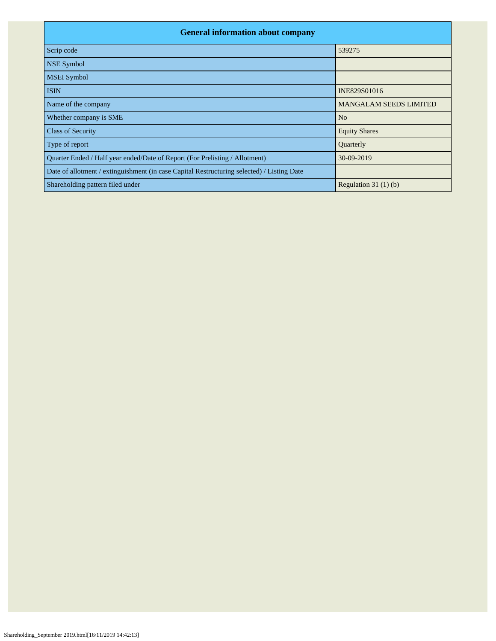| <b>General information about company</b>                                                   |                               |
|--------------------------------------------------------------------------------------------|-------------------------------|
| Scrip code                                                                                 | 539275                        |
| <b>NSE Symbol</b>                                                                          |                               |
| <b>MSEI</b> Symbol                                                                         |                               |
| <b>ISIN</b>                                                                                | INE829S01016                  |
| Name of the company                                                                        | <b>MANGALAM SEEDS LIMITED</b> |
| Whether company is SME                                                                     | N <sub>o</sub>                |
| <b>Class of Security</b>                                                                   | <b>Equity Shares</b>          |
| Type of report                                                                             | Quarterly                     |
| Quarter Ended / Half year ended/Date of Report (For Prelisting / Allotment)                | 30-09-2019                    |
| Date of allotment / extinguishment (in case Capital Restructuring selected) / Listing Date |                               |
| Shareholding pattern filed under                                                           | Regulation 31 $(1)(b)$        |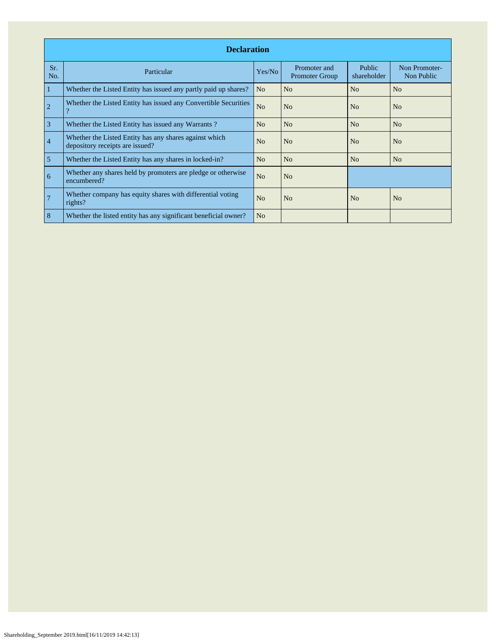|                | <b>Declaration</b>                                                                        |                |                                       |                       |                             |  |  |  |  |  |  |  |
|----------------|-------------------------------------------------------------------------------------------|----------------|---------------------------------------|-----------------------|-----------------------------|--|--|--|--|--|--|--|
| Sr.<br>No.     | Particular                                                                                | Yes/No         | Promoter and<br><b>Promoter Group</b> | Public<br>shareholder | Non Promoter-<br>Non Public |  |  |  |  |  |  |  |
| 1              | Whether the Listed Entity has issued any partly paid up shares?                           | N <sub>o</sub> | N <sub>o</sub>                        | N <sub>o</sub>        | N <sub>o</sub>              |  |  |  |  |  |  |  |
| $\overline{2}$ | Whether the Listed Entity has issued any Convertible Securities<br>$\mathcal{D}$          | N <sub>o</sub> | N <sub>o</sub>                        | No                    | N <sub>o</sub>              |  |  |  |  |  |  |  |
| $\overline{3}$ | Whether the Listed Entity has issued any Warrants?                                        | No             | N <sub>o</sub>                        | No                    | No                          |  |  |  |  |  |  |  |
| $\overline{4}$ | Whether the Listed Entity has any shares against which<br>depository receipts are issued? | N <sub>o</sub> | N <sub>o</sub>                        | N <sub>o</sub>        | N <sub>o</sub>              |  |  |  |  |  |  |  |
| 5              | Whether the Listed Entity has any shares in locked-in?                                    | N <sub>o</sub> | N <sub>o</sub>                        | N <sub>o</sub>        | N <sub>o</sub>              |  |  |  |  |  |  |  |
| 6              | Whether any shares held by promoters are pledge or otherwise<br>encumbered?               | N <sub>o</sub> | N <sub>o</sub>                        |                       |                             |  |  |  |  |  |  |  |
| $\overline{7}$ | Whether company has equity shares with differential voting<br>rights?                     | N <sub>o</sub> | N <sub>o</sub>                        | N <sub>0</sub>        | N <sub>o</sub>              |  |  |  |  |  |  |  |
| 8              | Whether the listed entity has any significant beneficial owner?                           | N <sub>o</sub> |                                       |                       |                             |  |  |  |  |  |  |  |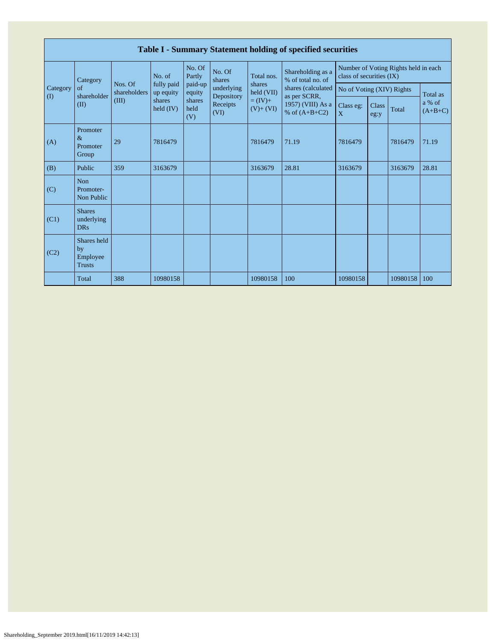|                                        | Table I - Summary Statement holding of specified securities |                         |                         |                       |                                                                                      |                      |                                        |                           |              |                                      |                           |  |  |  |               |       |                     |
|----------------------------------------|-------------------------------------------------------------|-------------------------|-------------------------|-----------------------|--------------------------------------------------------------------------------------|----------------------|----------------------------------------|---------------------------|--------------|--------------------------------------|---------------------------|--|--|--|---------------|-------|---------------------|
|                                        | Category                                                    |                         | No. of                  | No. Of<br>Partly      | No. Of<br>shares                                                                     | Total nos.           | Shareholding as a<br>% of total no. of | class of securities (IX)  |              | Number of Voting Rights held in each |                           |  |  |  |               |       |                     |
| Category<br>$\left( \mathrm{I}\right)$ | of<br>shareholder                                           | Nos. Of<br>shareholders | fully paid<br>up equity | paid-up<br>equity     | underlying<br>Depository                                                             | shares<br>held (VII) | shares (calculated                     | No of Voting (XIV) Rights |              |                                      | Total as                  |  |  |  |               |       |                     |
|                                        | (II)                                                        | (III)                   | shares<br>held $(IV)$   | shares<br>held<br>(V) | $= (IV) +$<br>1957) (VIII) As a<br>Receipts<br>$(V)+(VI)$<br>% of $(A+B+C2)$<br>(VI) |                      |                                        |                           | as per SCRR, |                                      | Class eg:<br>$\mathbf{X}$ |  |  |  | Class<br>eg:y | Total | a % of<br>$(A+B+C)$ |
| (A)                                    | Promoter<br>$\&$<br>Promoter<br>Group                       | 29                      | 7816479                 |                       |                                                                                      | 7816479              | 71.19                                  | 7816479                   |              | 7816479                              | 71.19                     |  |  |  |               |       |                     |
| (B)                                    | Public                                                      | 359                     | 3163679                 |                       |                                                                                      | 3163679              | 28.81                                  | 3163679                   |              | 3163679                              | 28.81                     |  |  |  |               |       |                     |
| (C)                                    | Non<br>Promoter-<br>Non Public                              |                         |                         |                       |                                                                                      |                      |                                        |                           |              |                                      |                           |  |  |  |               |       |                     |
| (C1)                                   | <b>Shares</b><br>underlying<br><b>DRs</b>                   |                         |                         |                       |                                                                                      |                      |                                        |                           |              |                                      |                           |  |  |  |               |       |                     |
| (C2)                                   | Shares held<br>by<br>Employee<br><b>Trusts</b>              |                         |                         |                       |                                                                                      |                      |                                        |                           |              |                                      |                           |  |  |  |               |       |                     |
|                                        | Total                                                       | 388                     | 10980158                |                       |                                                                                      | 10980158             | 100                                    | 10980158                  |              | 10980158                             | 100                       |  |  |  |               |       |                     |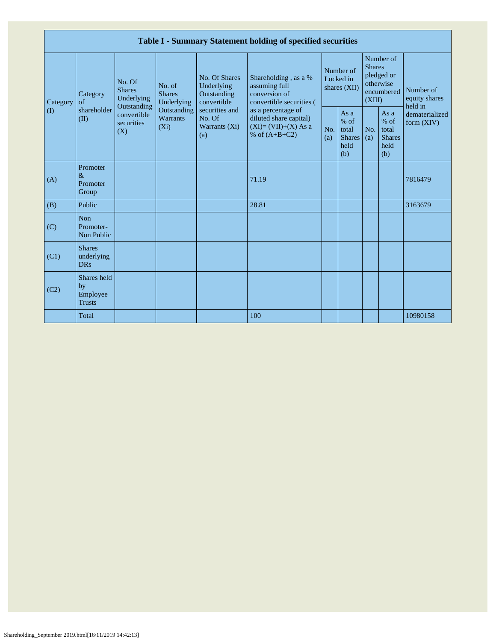|                                        |                                                                                       |                        |                                                      |                                                                                                               | Table I - Summary Statement holding of specified securities                              |                                        |                                                         |                                                                               |                                                         |                                       |
|----------------------------------------|---------------------------------------------------------------------------------------|------------------------|------------------------------------------------------|---------------------------------------------------------------------------------------------------------------|------------------------------------------------------------------------------------------|----------------------------------------|---------------------------------------------------------|-------------------------------------------------------------------------------|---------------------------------------------------------|---------------------------------------|
| Category<br>$\left( \mathrm{I}\right)$ | No. Of<br><b>Shares</b><br>Category<br>of<br>shareholder<br>(II)<br>securities<br>(X) | Underlying             | No. of<br><b>Shares</b><br>Underlying<br>Outstanding | No. Of Shares<br>Underlying<br>Outstanding<br>convertible<br>securities and<br>No. Of<br>Warrants (Xi)<br>(a) | Shareholding, as a %<br>assuming full<br>conversion of<br>convertible securities (       | Number of<br>Locked in<br>shares (XII) |                                                         | Number of<br><b>Shares</b><br>pledged or<br>otherwise<br>encumbered<br>(XIII) |                                                         | Number of<br>equity shares<br>held in |
|                                        |                                                                                       | convertible<br>$(X_i)$ | Outstanding<br>Warrants                              |                                                                                                               | as a percentage of<br>diluted share capital)<br>$(XI)=(VII)+(X) As a$<br>% of $(A+B+C2)$ | No.<br>(a)                             | As a<br>$%$ of<br>total<br><b>Shares</b><br>held<br>(b) | No.<br>(a)                                                                    | As a<br>$%$ of<br>total<br><b>Shares</b><br>held<br>(b) | dematerialized<br>form $(XIV)$        |
| (A)                                    | Promoter<br>$\&$<br>Promoter<br>Group                                                 |                        |                                                      |                                                                                                               | 71.19                                                                                    |                                        |                                                         |                                                                               |                                                         | 7816479                               |
| (B)                                    | Public                                                                                |                        |                                                      |                                                                                                               | 28.81                                                                                    |                                        |                                                         |                                                                               |                                                         | 3163679                               |
| (C)                                    | <b>Non</b><br>Promoter-<br>Non Public                                                 |                        |                                                      |                                                                                                               |                                                                                          |                                        |                                                         |                                                                               |                                                         |                                       |
| (C1)                                   | <b>Shares</b><br>underlying<br><b>DRs</b>                                             |                        |                                                      |                                                                                                               |                                                                                          |                                        |                                                         |                                                                               |                                                         |                                       |
| (C2)                                   | Shares held<br>by<br>Employee<br><b>Trusts</b>                                        |                        |                                                      |                                                                                                               |                                                                                          |                                        |                                                         |                                                                               |                                                         |                                       |
|                                        | Total                                                                                 |                        |                                                      |                                                                                                               | 100                                                                                      |                                        |                                                         |                                                                               |                                                         | 10980158                              |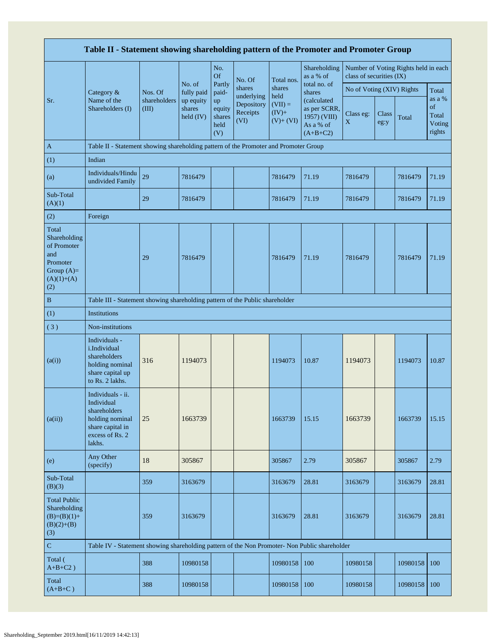| Table II - Statement showing shareholding pattern of the Promoter and Promoter Group           |                                                                                                                     |                       |                                  |                                       |                                              |                                              |                                                                         |                                                                  |               |          |                                           |  |
|------------------------------------------------------------------------------------------------|---------------------------------------------------------------------------------------------------------------------|-----------------------|----------------------------------|---------------------------------------|----------------------------------------------|----------------------------------------------|-------------------------------------------------------------------------|------------------------------------------------------------------|---------------|----------|-------------------------------------------|--|
|                                                                                                |                                                                                                                     |                       |                                  | No.<br><b>Of</b>                      | No. Of                                       | Total nos.                                   | Shareholding<br>as a % of                                               | Number of Voting Rights held in each<br>class of securities (IX) |               |          |                                           |  |
|                                                                                                | Category &                                                                                                          | Nos. Of               | No. of<br>fully paid             | Partly<br>paid-                       | shares                                       | shares                                       | total no. of<br>shares                                                  | No of Voting (XIV) Rights                                        |               |          | Total                                     |  |
| Sr.                                                                                            | Name of the<br>Shareholders (I)                                                                                     | shareholders<br>(III) | up equity<br>shares<br>held (IV) | up<br>equity<br>shares<br>held<br>(V) | underlying<br>Depository<br>Receipts<br>(VI) | held<br>$(VII) =$<br>$(IV)+$<br>$(V) + (VI)$ | (calculated)<br>as per SCRR,<br>1957) (VIII)<br>As a % of<br>$(A+B+C2)$ | Class eg:<br>X                                                   | Class<br>eg:y | Total    | as a %<br>of<br>Total<br>Voting<br>rights |  |
| $\mathbf{A}$                                                                                   | Table II - Statement showing shareholding pattern of the Promoter and Promoter Group                                |                       |                                  |                                       |                                              |                                              |                                                                         |                                                                  |               |          |                                           |  |
| (1)                                                                                            | Indian                                                                                                              |                       |                                  |                                       |                                              |                                              |                                                                         |                                                                  |               |          |                                           |  |
| (a)                                                                                            | Individuals/Hindu<br>undivided Family                                                                               | 29                    | 7816479                          |                                       |                                              | 7816479                                      | 71.19                                                                   | 7816479                                                          |               | 7816479  | 71.19                                     |  |
| Sub-Total<br>(A)(1)                                                                            |                                                                                                                     | 29                    | 7816479                          |                                       |                                              | 7816479                                      | 71.19                                                                   | 7816479                                                          |               | 7816479  | 71.19                                     |  |
| (2)                                                                                            | Foreign                                                                                                             |                       |                                  |                                       |                                              |                                              |                                                                         |                                                                  |               |          |                                           |  |
| Total<br>Shareholding<br>of Promoter<br>and<br>Promoter<br>Group $(A)=$<br>$(A)(1)+(A)$<br>(2) |                                                                                                                     | 29                    | 7816479                          |                                       |                                              | 7816479                                      | 71.19                                                                   | 7816479                                                          |               | 7816479  | 71.19                                     |  |
| $\, {\bf B}$                                                                                   | Table III - Statement showing shareholding pattern of the Public shareholder                                        |                       |                                  |                                       |                                              |                                              |                                                                         |                                                                  |               |          |                                           |  |
| (1)                                                                                            | <b>Institutions</b>                                                                                                 |                       |                                  |                                       |                                              |                                              |                                                                         |                                                                  |               |          |                                           |  |
| (3)                                                                                            | Non-institutions                                                                                                    |                       |                                  |                                       |                                              |                                              |                                                                         |                                                                  |               |          |                                           |  |
| (a(i))                                                                                         | Individuals -<br>i.Individual<br>shareholders<br>holding nominal<br>share capital up<br>to Rs. 2 lakhs.             | 316                   | 1194073                          |                                       |                                              | 1194073                                      | 10.87                                                                   | 1194073                                                          |               | 1194073  | 10.87                                     |  |
| (a(ii))                                                                                        | Individuals - ii.<br>Individual<br>shareholders<br>holding nominal<br>share capital in<br>excess of Rs. 2<br>lakhs. | 25                    | 1663739                          |                                       |                                              | 1663739                                      | 15.15                                                                   | 1663739                                                          |               | 1663739  | 15.15                                     |  |
| (e)                                                                                            | Any Other<br>(specify)                                                                                              | 18                    | 305867                           |                                       |                                              | 305867                                       | 2.79                                                                    | 305867                                                           |               | 305867   | 2.79                                      |  |
| Sub-Total<br>(B)(3)                                                                            |                                                                                                                     | 359                   | 3163679                          |                                       |                                              | 3163679                                      | 28.81                                                                   | 3163679                                                          |               | 3163679  | 28.81                                     |  |
| <b>Total Public</b><br>Shareholding<br>$(B)=(B)(1)+$<br>$(B)(2)+(B)$<br>(3)                    |                                                                                                                     | 359                   | 3163679                          |                                       |                                              | 3163679                                      | 28.81                                                                   | 3163679                                                          |               | 3163679  | 28.81                                     |  |
| $\mathbf C$                                                                                    | Table IV - Statement showing shareholding pattern of the Non Promoter- Non Public shareholder                       |                       |                                  |                                       |                                              |                                              |                                                                         |                                                                  |               |          |                                           |  |
| Total (<br>$A+B+C2$ )                                                                          |                                                                                                                     | 388                   | 10980158                         |                                       |                                              | 10980158                                     | 100                                                                     | 10980158                                                         |               | 10980158 | 100                                       |  |
| Total<br>$(A+B+C)$                                                                             |                                                                                                                     | 388                   | 10980158                         |                                       |                                              | 10980158                                     | 100                                                                     | 10980158                                                         |               | 10980158 | 100                                       |  |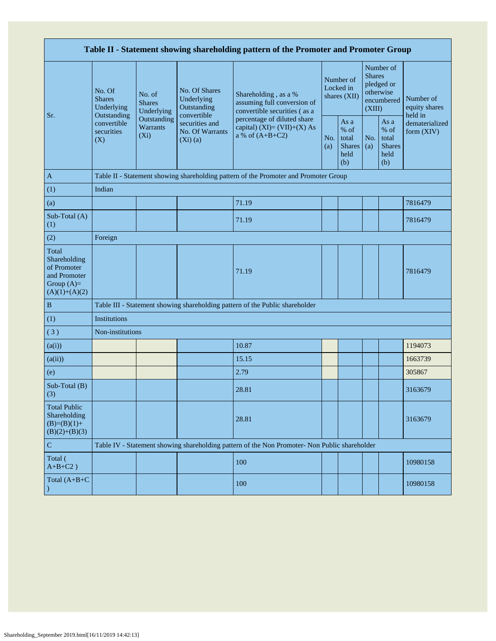| Table II - Statement showing shareholding pattern of the Promoter and Promoter Group    |                                                      |                                       |                                                           |                                                                                               |            |                                                         |                         |                                                         |                                       |  |  |  |  |
|-----------------------------------------------------------------------------------------|------------------------------------------------------|---------------------------------------|-----------------------------------------------------------|-----------------------------------------------------------------------------------------------|------------|---------------------------------------------------------|-------------------------|---------------------------------------------------------|---------------------------------------|--|--|--|--|
| Sr.                                                                                     | No. Of<br><b>Shares</b><br>Underlying<br>Outstanding | No. of<br><b>Shares</b><br>Underlying | No. Of Shares<br>Underlying<br>Outstanding<br>convertible | Shareholding, as a %<br>assuming full conversion of<br>convertible securities (as a           |            | Number of<br>Locked in<br>shares (XII)                  | <b>Shares</b><br>(XIII) | Number of<br>pledged or<br>otherwise<br>encumbered      | Number of<br>equity shares<br>held in |  |  |  |  |
|                                                                                         | convertible<br>securities<br>(X)                     | Outstanding<br>Warrants<br>$(X_i)$    | securities and<br>No. Of Warrants<br>$(Xi)$ (a)           | percentage of diluted share<br>capital) $(XI) = (VII)+(X) As$<br>a % of $(A+B+C2)$            | No.<br>(a) | As a<br>$%$ of<br>total<br><b>Shares</b><br>held<br>(b) |                         | As a<br>$%$ of<br>total<br><b>Shares</b><br>held<br>(b) | dematerialized<br>form $(XIV)$        |  |  |  |  |
| A                                                                                       |                                                      |                                       |                                                           | Table II - Statement showing shareholding pattern of the Promoter and Promoter Group          |            |                                                         |                         |                                                         |                                       |  |  |  |  |
| (1)                                                                                     | Indian                                               |                                       |                                                           |                                                                                               |            |                                                         |                         |                                                         |                                       |  |  |  |  |
| (a)                                                                                     |                                                      |                                       |                                                           | 71.19                                                                                         |            |                                                         |                         |                                                         | 7816479                               |  |  |  |  |
| Sub-Total (A)<br>(1)                                                                    |                                                      |                                       |                                                           | 71.19                                                                                         |            |                                                         |                         |                                                         | 7816479                               |  |  |  |  |
| (2)                                                                                     | Foreign                                              |                                       |                                                           |                                                                                               |            |                                                         |                         |                                                         |                                       |  |  |  |  |
| Total<br>Shareholding<br>of Promoter<br>and Promoter<br>Group $(A)=$<br>$(A)(1)+(A)(2)$ |                                                      |                                       |                                                           | 71.19                                                                                         |            |                                                         |                         |                                                         | 7816479                               |  |  |  |  |
| $\, {\bf B}$                                                                            |                                                      |                                       |                                                           | Table III - Statement showing shareholding pattern of the Public shareholder                  |            |                                                         |                         |                                                         |                                       |  |  |  |  |
| (1)                                                                                     | Institutions                                         |                                       |                                                           |                                                                                               |            |                                                         |                         |                                                         |                                       |  |  |  |  |
| (3)                                                                                     | Non-institutions                                     |                                       |                                                           |                                                                                               |            |                                                         |                         |                                                         |                                       |  |  |  |  |
| (a(i))                                                                                  |                                                      |                                       |                                                           | 10.87                                                                                         |            |                                                         |                         |                                                         | 1194073                               |  |  |  |  |
| (a(ii))                                                                                 |                                                      |                                       |                                                           | 15.15                                                                                         |            |                                                         |                         |                                                         | 1663739                               |  |  |  |  |
| (e)                                                                                     |                                                      |                                       |                                                           | 2.79                                                                                          |            |                                                         |                         |                                                         | 305867                                |  |  |  |  |
| Sub-Total (B)<br>(3)                                                                    |                                                      |                                       |                                                           | 28.81                                                                                         |            |                                                         |                         |                                                         | 3163679                               |  |  |  |  |
| <b>Total Public</b><br>Shareholding<br>$(B)=(B)(1)+$<br>$(B)(2)+(B)(3)$                 |                                                      |                                       |                                                           | 28.81                                                                                         |            |                                                         |                         |                                                         | 3163679                               |  |  |  |  |
| ${\bf C}$                                                                               |                                                      |                                       |                                                           | Table IV - Statement showing shareholding pattern of the Non Promoter- Non Public shareholder |            |                                                         |                         |                                                         |                                       |  |  |  |  |
| Total (<br>$A+B+C2$ )                                                                   |                                                      |                                       |                                                           | 100                                                                                           |            |                                                         |                         |                                                         | 10980158                              |  |  |  |  |
| Total $(A+B+C)$                                                                         |                                                      |                                       |                                                           | 100                                                                                           |            |                                                         |                         |                                                         | 10980158                              |  |  |  |  |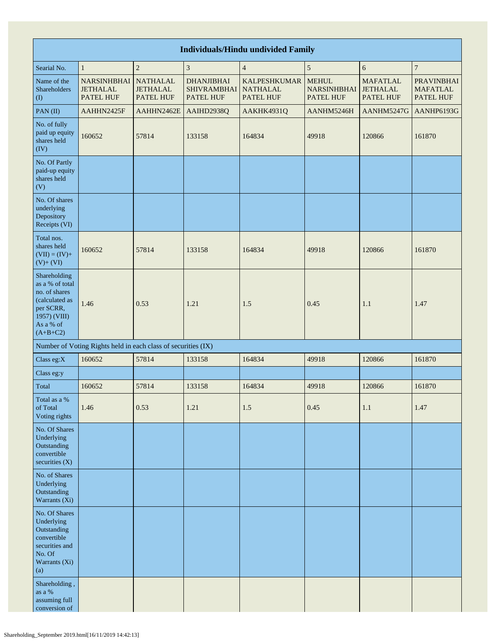| <b>Individuals/Hindu undivided Family</b>                                                                                                  |                                                               |                                                 |                                                      |                                                     |                                                        |                                                 |                                                   |  |  |  |  |  |  |  |
|--------------------------------------------------------------------------------------------------------------------------------------------|---------------------------------------------------------------|-------------------------------------------------|------------------------------------------------------|-----------------------------------------------------|--------------------------------------------------------|-------------------------------------------------|---------------------------------------------------|--|--|--|--|--|--|--|
| $\overline{\mathbf{3}}$<br>$\overline{4}$<br>$\sqrt{5}$<br>$\boldsymbol{7}$<br>$\mathbf{1}$<br>$\overline{c}$<br>$\sqrt{6}$<br>Searial No. |                                                               |                                                 |                                                      |                                                     |                                                        |                                                 |                                                   |  |  |  |  |  |  |  |
| Name of the<br>Shareholders<br>(1)                                                                                                         | <b>NARSINHBHAI</b><br><b>JETHALAL</b><br>PATEL HUF            | <b>NATHALAL</b><br><b>JETHALAL</b><br>PATEL HUF | <b>DHANJIBHAI</b><br><b>SHIVRAMBHAI</b><br>PATEL HUF | <b>KALPESHKUMAR</b><br><b>NATHALAL</b><br>PATEL HUF | <b>MEHUL</b><br><b>NARSINHBHAI</b><br><b>PATEL HUF</b> | <b>MAFATLAL</b><br><b>JETHALAL</b><br>PATEL HUF | <b>PRAVINBHAI</b><br><b>MAFATLAL</b><br>PATEL HUF |  |  |  |  |  |  |  |
| PAN(II)                                                                                                                                    | AAHHN2425F                                                    | AAHHN2462E                                      | AAIHD2938Q                                           | AAKHK4931Q                                          | AANHM5246H                                             | AANHM5247G                                      | AANHP6193G                                        |  |  |  |  |  |  |  |
| No. of fully<br>paid up equity<br>shares held<br>(IV)                                                                                      | 160652                                                        | 57814                                           | 133158                                               | 164834                                              | 49918                                                  | 120866                                          | 161870                                            |  |  |  |  |  |  |  |
| No. Of Partly<br>paid-up equity<br>shares held<br>(V)                                                                                      |                                                               |                                                 |                                                      |                                                     |                                                        |                                                 |                                                   |  |  |  |  |  |  |  |
| No. Of shares<br>underlying<br>Depository<br>Receipts (VI)                                                                                 |                                                               |                                                 |                                                      |                                                     |                                                        |                                                 |                                                   |  |  |  |  |  |  |  |
| Total nos.<br>shares held<br>$(VII) = (IV) +$<br>$(V) + (VI)$                                                                              | 160652                                                        | 57814                                           | 133158                                               | 164834                                              | 49918                                                  | 120866                                          | 161870                                            |  |  |  |  |  |  |  |
| Shareholding<br>as a % of total<br>no. of shares<br>(calculated as<br>per SCRR,<br>1957) (VIII)<br>As a % of<br>$(A+B+C2)$                 | 1.46                                                          | 0.53                                            | 1.21                                                 | 1.5                                                 | 0.45                                                   | 1.1                                             | 1.47                                              |  |  |  |  |  |  |  |
|                                                                                                                                            | Number of Voting Rights held in each class of securities (IX) |                                                 |                                                      |                                                     |                                                        |                                                 |                                                   |  |  |  |  |  |  |  |
| Class eg:X                                                                                                                                 | 160652                                                        | 57814                                           | 133158                                               | 164834                                              | 49918                                                  | 120866                                          | 161870                                            |  |  |  |  |  |  |  |
| Class eg:y                                                                                                                                 |                                                               |                                                 |                                                      |                                                     |                                                        |                                                 |                                                   |  |  |  |  |  |  |  |
| Total                                                                                                                                      | 160652                                                        | 57814                                           | 133158                                               | 164834                                              | 49918                                                  | 120866                                          | 161870                                            |  |  |  |  |  |  |  |
| Total as a %<br>of Total<br>Voting rights                                                                                                  | 1.46                                                          | 0.53                                            | 1.21                                                 | 1.5                                                 | 0.45                                                   | 1.1                                             | 1.47                                              |  |  |  |  |  |  |  |
| No. Of Shares<br>Underlying<br>Outstanding<br>convertible<br>securities $(X)$                                                              |                                                               |                                                 |                                                      |                                                     |                                                        |                                                 |                                                   |  |  |  |  |  |  |  |
| No. of Shares<br>Underlying<br>Outstanding<br>Warrants (Xi)                                                                                |                                                               |                                                 |                                                      |                                                     |                                                        |                                                 |                                                   |  |  |  |  |  |  |  |
| No. Of Shares<br>Underlying<br>Outstanding<br>convertible<br>securities and<br>No. Of<br>Warrants (Xi)<br>(a)                              |                                                               |                                                 |                                                      |                                                     |                                                        |                                                 |                                                   |  |  |  |  |  |  |  |
| Shareholding,<br>as a $\%$<br>assuming full<br>conversion of                                                                               |                                                               |                                                 |                                                      |                                                     |                                                        |                                                 |                                                   |  |  |  |  |  |  |  |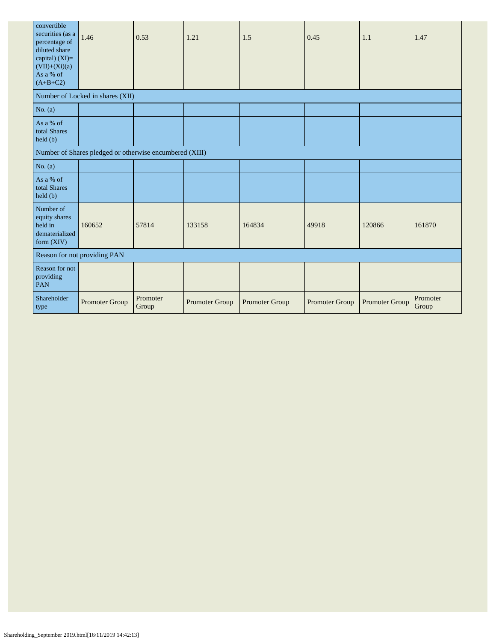| convertible<br>securities (as a<br>percentage of<br>diluted share<br>capital) (XI)=<br>$(VII)+(Xi)(a)$<br>As a % of<br>$(A+B+C2)$ | 1.46                                                    | 0.53              | 1.21           | 1.5            | 0.45           | 1.1                   | 1.47              |
|-----------------------------------------------------------------------------------------------------------------------------------|---------------------------------------------------------|-------------------|----------------|----------------|----------------|-----------------------|-------------------|
|                                                                                                                                   | Number of Locked in shares (XII)                        |                   |                |                |                |                       |                   |
| No. $(a)$                                                                                                                         |                                                         |                   |                |                |                |                       |                   |
| As a % of<br>total Shares<br>held(b)                                                                                              |                                                         |                   |                |                |                |                       |                   |
|                                                                                                                                   | Number of Shares pledged or otherwise encumbered (XIII) |                   |                |                |                |                       |                   |
| No. $(a)$                                                                                                                         |                                                         |                   |                |                |                |                       |                   |
| As a % of<br>total Shares<br>held (b)                                                                                             |                                                         |                   |                |                |                |                       |                   |
| Number of<br>equity shares<br>held in<br>dematerialized<br>form (XIV)                                                             | 160652                                                  | 57814             | 133158         | 164834         | 49918          | 120866                | 161870            |
|                                                                                                                                   | Reason for not providing PAN                            |                   |                |                |                |                       |                   |
| Reason for not<br>providing<br>PAN                                                                                                |                                                         |                   |                |                |                |                       |                   |
| Shareholder<br>type                                                                                                               | Promoter Group                                          | Promoter<br>Group | Promoter Group | Promoter Group | Promoter Group | <b>Promoter Group</b> | Promoter<br>Group |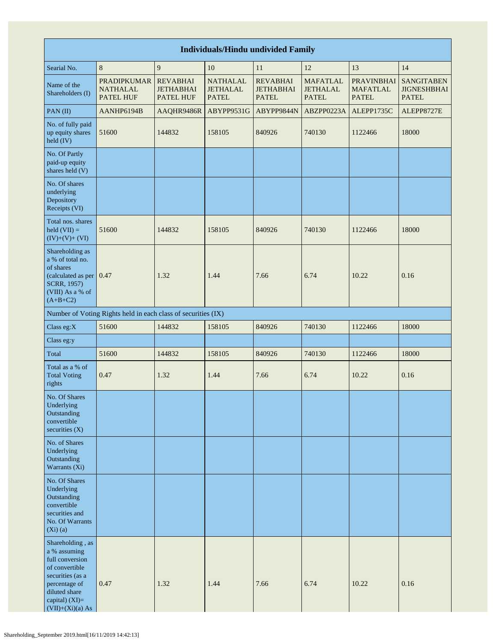| <b>Individuals/Hindu undivided Family</b>                                                                                                                           |                                                               |                                                         |                                                    |                                                     |                                                    |                                                      |                                                         |  |  |  |  |
|---------------------------------------------------------------------------------------------------------------------------------------------------------------------|---------------------------------------------------------------|---------------------------------------------------------|----------------------------------------------------|-----------------------------------------------------|----------------------------------------------------|------------------------------------------------------|---------------------------------------------------------|--|--|--|--|
| Searial No.                                                                                                                                                         | 8                                                             | 9                                                       | 10                                                 | 11                                                  | 12                                                 | 13                                                   | 14                                                      |  |  |  |  |
| Name of the<br>Shareholders (I)                                                                                                                                     | <b>PRADIPKUMAR</b><br><b>NATHALAL</b><br><b>PATEL HUF</b>     | <b>REVABHAI</b><br><b>JETHABHAI</b><br><b>PATEL HUF</b> | <b>NATHALAL</b><br><b>JETHALAL</b><br><b>PATEL</b> | <b>REVABHAI</b><br><b>JETHABHAI</b><br><b>PATEL</b> | <b>MAFATLAL</b><br><b>JETHALAL</b><br><b>PATEL</b> | <b>PRAVINBHAI</b><br><b>MAFATLAL</b><br><b>PATEL</b> | <b>SANGITABEN</b><br><b>JIGNESHBHAI</b><br><b>PATEL</b> |  |  |  |  |
| PAN(II)                                                                                                                                                             | AANHP6194B                                                    | AAQHR9486R                                              | ABYPP9531G                                         | ABYPP9844N                                          | ABZPP0223A                                         | ALEPP1735C                                           | ALEPP8727E                                              |  |  |  |  |
| No. of fully paid<br>up equity shares<br>held (IV)                                                                                                                  | 51600                                                         | 144832                                                  | 158105                                             | 840926                                              | 740130                                             | 1122466                                              | 18000                                                   |  |  |  |  |
| No. Of Partly<br>paid-up equity<br>shares held (V)                                                                                                                  |                                                               |                                                         |                                                    |                                                     |                                                    |                                                      |                                                         |  |  |  |  |
| No. Of shares<br>underlying<br>Depository<br>Receipts (VI)                                                                                                          |                                                               |                                                         |                                                    |                                                     |                                                    |                                                      |                                                         |  |  |  |  |
| Total nos. shares<br>$\text{held (VII)} =$<br>$(IV)+(V)+(VI)$                                                                                                       | 51600                                                         | 144832                                                  | 158105                                             | 840926                                              | 740130                                             | 1122466                                              | 18000                                                   |  |  |  |  |
| Shareholding as<br>a % of total no.<br>of shares<br>(calculated as per 0.47<br>SCRR, 1957)<br>(VIII) As a % of<br>$(A+B+C2)$                                        |                                                               | 1.32                                                    | 1.44                                               | 7.66                                                | 6.74                                               | 10.22                                                | 0.16                                                    |  |  |  |  |
|                                                                                                                                                                     | Number of Voting Rights held in each class of securities (IX) |                                                         |                                                    |                                                     |                                                    |                                                      |                                                         |  |  |  |  |
| Class eg:X                                                                                                                                                          | 51600                                                         | 144832                                                  | 158105                                             | 840926                                              | 740130                                             | 1122466                                              | 18000                                                   |  |  |  |  |
| Class eg:y                                                                                                                                                          |                                                               |                                                         |                                                    |                                                     |                                                    |                                                      |                                                         |  |  |  |  |
| Total                                                                                                                                                               | 51600                                                         | 144832                                                  | 158105                                             | 840926                                              | 740130                                             | 1122466                                              | 18000                                                   |  |  |  |  |
| Total as a % of<br><b>Total Voting</b><br>rights                                                                                                                    | 0.47                                                          | 1.32                                                    | 1.44                                               | 7.66                                                | 6.74                                               | 10.22                                                | 0.16                                                    |  |  |  |  |
| No. Of Shares<br>Underlying<br>Outstanding<br>convertible<br>securities $(X)$                                                                                       |                                                               |                                                         |                                                    |                                                     |                                                    |                                                      |                                                         |  |  |  |  |
| No. of Shares<br>Underlying<br>Outstanding<br>Warrants (Xi)                                                                                                         |                                                               |                                                         |                                                    |                                                     |                                                    |                                                      |                                                         |  |  |  |  |
| No. Of Shares<br>Underlying<br>Outstanding<br>convertible<br>securities and<br>No. Of Warrants<br>$(Xi)$ $(a)$                                                      |                                                               |                                                         |                                                    |                                                     |                                                    |                                                      |                                                         |  |  |  |  |
| Shareholding, as<br>a % assuming<br>full conversion<br>of convertible<br>securities (as a<br>percentage of<br>diluted share<br>capital) (XI)=<br>$(VII)+(Xi)(a) As$ | 0.47                                                          | 1.32                                                    | 1.44                                               | 7.66                                                | 6.74                                               | 10.22                                                | 0.16                                                    |  |  |  |  |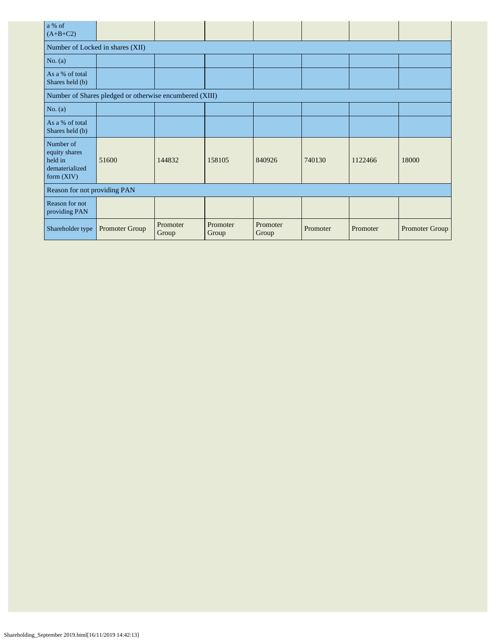| a % of<br>$(A+B+C2)$                                                    |                                                         |                   |                   |                   |          |          |                       |  |  |  |  |
|-------------------------------------------------------------------------|---------------------------------------------------------|-------------------|-------------------|-------------------|----------|----------|-----------------------|--|--|--|--|
| Number of Locked in shares (XII)                                        |                                                         |                   |                   |                   |          |          |                       |  |  |  |  |
| No. $(a)$                                                               |                                                         |                   |                   |                   |          |          |                       |  |  |  |  |
| As a % of total<br>Shares held (b)                                      |                                                         |                   |                   |                   |          |          |                       |  |  |  |  |
|                                                                         | Number of Shares pledged or otherwise encumbered (XIII) |                   |                   |                   |          |          |                       |  |  |  |  |
| No. $(a)$                                                               |                                                         |                   |                   |                   |          |          |                       |  |  |  |  |
| As a % of total<br>Shares held (b)                                      |                                                         |                   |                   |                   |          |          |                       |  |  |  |  |
| Number of<br>equity shares<br>held in<br>dematerialized<br>form $(XIV)$ | 51600                                                   | 144832            | 158105            | 840926            | 740130   | 1122466  | 18000                 |  |  |  |  |
| Reason for not providing PAN                                            |                                                         |                   |                   |                   |          |          |                       |  |  |  |  |
| Reason for not<br>providing PAN                                         |                                                         |                   |                   |                   |          |          |                       |  |  |  |  |
| Shareholder type                                                        | Promoter Group                                          | Promoter<br>Group | Promoter<br>Group | Promoter<br>Group | Promoter | Promoter | <b>Promoter Group</b> |  |  |  |  |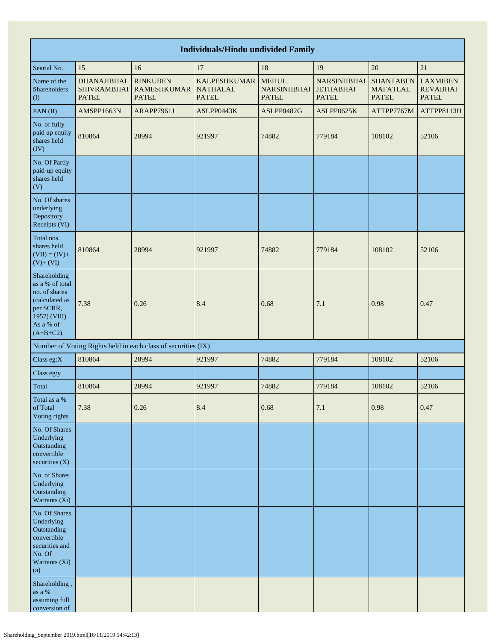|                                                                                                                            | <b>Individuals/Hindu undivided Family</b>                |                                                               |                                                        |                                                    |                                                        |                                                     |                                                    |  |  |  |  |  |  |
|----------------------------------------------------------------------------------------------------------------------------|----------------------------------------------------------|---------------------------------------------------------------|--------------------------------------------------------|----------------------------------------------------|--------------------------------------------------------|-----------------------------------------------------|----------------------------------------------------|--|--|--|--|--|--|
| Searial No.                                                                                                                | 15                                                       | 16                                                            | 17                                                     | 18                                                 | 19                                                     | 20                                                  | 21                                                 |  |  |  |  |  |  |
| Name of the<br>Shareholders<br>$\left( \mathrm{I}\right)$                                                                  | <b>DHANAJIBHAI</b><br><b>SHIVRAMBHAI</b><br><b>PATEL</b> | <b>RINKUBEN</b><br><b>RAMESHKUMAR</b><br><b>PATEL</b>         | <b>KALPESHKUMAR</b><br><b>NATHALAL</b><br><b>PATEL</b> | <b>MEHUL</b><br><b>NARSINHBHAI</b><br><b>PATEL</b> | <b>NARSINHBHAI</b><br><b>JETHABHAI</b><br><b>PATEL</b> | <b>SHANTABEN</b><br><b>MAFATLAL</b><br><b>PATEL</b> | <b>LAXMIBEN</b><br><b>REVABHAI</b><br><b>PATEL</b> |  |  |  |  |  |  |
| PAN $(II)$                                                                                                                 | AMSPP1663N                                               | ARAPP7961J                                                    | ASLPP0443K                                             | ASLPP0482G                                         | ASLPP0625K                                             | ATTPP7767M                                          | ATTPP8113H                                         |  |  |  |  |  |  |
| No. of fully<br>paid up equity<br>shares held<br>$(\overline{IV})$                                                         | 810864                                                   | 28994                                                         | 921997                                                 | 74882                                              | 779184                                                 | 108102                                              | 52106                                              |  |  |  |  |  |  |
| No. Of Partly<br>paid-up equity<br>shares held<br>(V)                                                                      |                                                          |                                                               |                                                        |                                                    |                                                        |                                                     |                                                    |  |  |  |  |  |  |
| No. Of shares<br>underlying<br>Depository<br>Receipts (VI)                                                                 |                                                          |                                                               |                                                        |                                                    |                                                        |                                                     |                                                    |  |  |  |  |  |  |
| Total nos.<br>shares held<br>$(VII) = (IV) +$<br>$(V)$ + $(VI)$                                                            | 810864                                                   | 28994                                                         | 921997                                                 | 74882                                              | 779184                                                 | 108102                                              | 52106                                              |  |  |  |  |  |  |
| Shareholding<br>as a % of total<br>no. of shares<br>(calculated as<br>per SCRR,<br>1957) (VIII)<br>As a % of<br>$(A+B+C2)$ | 7.38                                                     | 0.26                                                          | 8.4                                                    | 0.68                                               | 7.1                                                    | 0.98                                                | 0.47                                               |  |  |  |  |  |  |
|                                                                                                                            |                                                          | Number of Voting Rights held in each class of securities (IX) |                                                        |                                                    |                                                        |                                                     |                                                    |  |  |  |  |  |  |
| Class eg:X                                                                                                                 | 810864                                                   | 28994                                                         | 921997                                                 | 74882                                              | 779184                                                 | 108102                                              | 52106                                              |  |  |  |  |  |  |
| Class eg:y                                                                                                                 |                                                          |                                                               |                                                        |                                                    |                                                        |                                                     |                                                    |  |  |  |  |  |  |
| Total                                                                                                                      | 810864                                                   | 28994                                                         | 921997                                                 | 74882                                              | 779184                                                 | 108102                                              | 52106                                              |  |  |  |  |  |  |
| Total as a %<br>of Total<br>Voting rights                                                                                  | 7.38                                                     | 0.26                                                          | 8.4                                                    | 0.68                                               | 7.1                                                    | 0.98                                                | 0.47                                               |  |  |  |  |  |  |
| No. Of Shares<br>Underlying<br>Outstanding<br>convertible<br>securities (X)                                                |                                                          |                                                               |                                                        |                                                    |                                                        |                                                     |                                                    |  |  |  |  |  |  |
| No. of Shares<br>Underlying<br>Outstanding<br>Warrants (Xi)                                                                |                                                          |                                                               |                                                        |                                                    |                                                        |                                                     |                                                    |  |  |  |  |  |  |
| No. Of Shares<br>Underlying<br>Outstanding<br>convertible<br>securities and<br>No. Of<br>Warrants (Xi)<br>(a)              |                                                          |                                                               |                                                        |                                                    |                                                        |                                                     |                                                    |  |  |  |  |  |  |
| Shareholding,<br>as a $\%$<br>assuming full<br>conversion of                                                               |                                                          |                                                               |                                                        |                                                    |                                                        |                                                     |                                                    |  |  |  |  |  |  |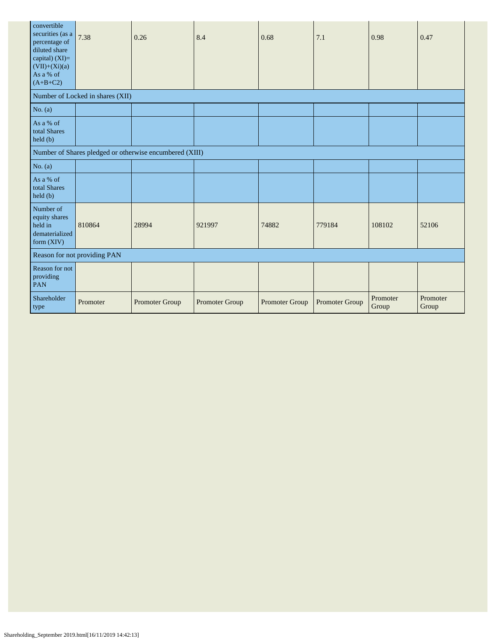| convertible<br>securities (as a<br>percentage of<br>diluted share<br>capital) $(XI)=$<br>$(VII)+(Xi)(a)$<br>As a % of<br>$(A+B+C2)$ | 7.38                             | 0.26                                                    | 8.4            | 0.68           | 7.1            | 0.98              | 0.47              |
|-------------------------------------------------------------------------------------------------------------------------------------|----------------------------------|---------------------------------------------------------|----------------|----------------|----------------|-------------------|-------------------|
|                                                                                                                                     | Number of Locked in shares (XII) |                                                         |                |                |                |                   |                   |
| No. $(a)$                                                                                                                           |                                  |                                                         |                |                |                |                   |                   |
| As a % of<br>total Shares<br>held (b)                                                                                               |                                  |                                                         |                |                |                |                   |                   |
|                                                                                                                                     |                                  | Number of Shares pledged or otherwise encumbered (XIII) |                |                |                |                   |                   |
| No. $(a)$                                                                                                                           |                                  |                                                         |                |                |                |                   |                   |
| As a % of<br>total Shares<br>held (b)                                                                                               |                                  |                                                         |                |                |                |                   |                   |
| Number of<br>equity shares<br>held in<br>dematerialized<br>form $(XIV)$                                                             | 810864                           | 28994                                                   | 921997         | 74882          | 779184         | 108102            | 52106             |
|                                                                                                                                     | Reason for not providing PAN     |                                                         |                |                |                |                   |                   |
| Reason for not<br>providing<br><b>PAN</b>                                                                                           |                                  |                                                         |                |                |                |                   |                   |
| Shareholder<br>type                                                                                                                 | Promoter                         | Promoter Group                                          | Promoter Group | Promoter Group | Promoter Group | Promoter<br>Group | Promoter<br>Group |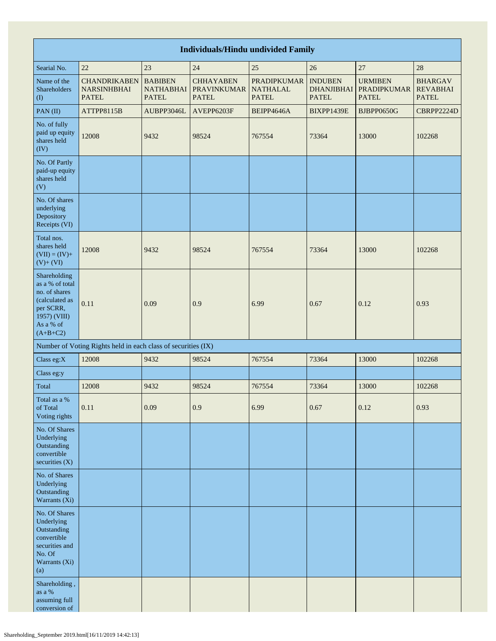| <b>Individuals/Hindu undivided Family</b>                                                                                  |                                                               |                                                    |                                                        |                                                       |                                                     |                                                      |                                                   |
|----------------------------------------------------------------------------------------------------------------------------|---------------------------------------------------------------|----------------------------------------------------|--------------------------------------------------------|-------------------------------------------------------|-----------------------------------------------------|------------------------------------------------------|---------------------------------------------------|
| Searial No.                                                                                                                | 22                                                            | 23                                                 | 24                                                     | 25                                                    | 26                                                  | 27                                                   | 28                                                |
| Name of the<br>Shareholders<br>(1)                                                                                         | <b>CHANDRIKABEN</b><br><b>NARSINHBHAI</b><br><b>PATEL</b>     | <b>BABIBEN</b><br><b>NATHABHAI</b><br><b>PATEL</b> | <b>CHHAYABEN</b><br><b>PRAVINKUMAR</b><br><b>PATEL</b> | <b>PRADIPKUMAR</b><br><b>NATHALAL</b><br><b>PATEL</b> | <b>INDUBEN</b><br><b>DHANJIBHAI</b><br><b>PATEL</b> | <b>URMIBEN</b><br><b>PRADIPKUMAR</b><br><b>PATEL</b> | <b>BHARGAV</b><br><b>REVABHAI</b><br><b>PATEL</b> |
| PAN(II)                                                                                                                    | ATTPP8115B                                                    | AUBPP3046L                                         | AVEPP6203F                                             | BEIPP4646A                                            | BIXPP1439E                                          | BJBPP0650G                                           | CBRPP2224D                                        |
| No. of fully<br>paid up equity<br>shares held<br>(IV)                                                                      | 12008                                                         | 9432                                               | 98524                                                  | 767554                                                | 73364                                               | 13000                                                | 102268                                            |
| No. Of Partly<br>paid-up equity<br>shares held<br>(V)                                                                      |                                                               |                                                    |                                                        |                                                       |                                                     |                                                      |                                                   |
| No. Of shares<br>underlying<br>Depository<br>Receipts (VI)                                                                 |                                                               |                                                    |                                                        |                                                       |                                                     |                                                      |                                                   |
| Total nos.<br>shares held<br>$(VII) = (IV) +$<br>$(V) + (VI)$                                                              | 12008                                                         | 9432                                               | 98524                                                  | 767554                                                | 73364                                               | 13000                                                | 102268                                            |
| Shareholding<br>as a % of total<br>no. of shares<br>(calculated as<br>per SCRR,<br>1957) (VIII)<br>As a % of<br>$(A+B+C2)$ | 0.11                                                          | 0.09                                               | 0.9                                                    | 6.99                                                  | 0.67                                                | 0.12                                                 | 0.93                                              |
|                                                                                                                            | Number of Voting Rights held in each class of securities (IX) |                                                    |                                                        |                                                       |                                                     |                                                      |                                                   |
| Class eg:X                                                                                                                 | 12008                                                         | 9432                                               | 98524                                                  | 767554                                                | 73364                                               | 13000                                                | 102268                                            |
| Class eg:y                                                                                                                 |                                                               |                                                    |                                                        |                                                       |                                                     |                                                      |                                                   |
| Total                                                                                                                      | 12008                                                         | 9432                                               | 98524                                                  | 767554                                                | 73364                                               | 13000                                                | 102268                                            |
| Total as a $\%$<br>of Total<br>Voting rights                                                                               | 0.11                                                          | 0.09                                               | 0.9                                                    | 6.99                                                  | 0.67                                                | 0.12                                                 | 0.93                                              |
| No. Of Shares<br>Underlying<br>Outstanding<br>convertible<br>securities $(X)$                                              |                                                               |                                                    |                                                        |                                                       |                                                     |                                                      |                                                   |
| No. of Shares<br>Underlying<br>Outstanding<br>Warrants (Xi)                                                                |                                                               |                                                    |                                                        |                                                       |                                                     |                                                      |                                                   |
| No. Of Shares<br>Underlying<br>Outstanding<br>convertible<br>securities and<br>No. Of<br>Warrants (Xi)<br>(a)              |                                                               |                                                    |                                                        |                                                       |                                                     |                                                      |                                                   |
| Shareholding,<br>as a $\%$<br>assuming full<br>conversion of                                                               |                                                               |                                                    |                                                        |                                                       |                                                     |                                                      |                                                   |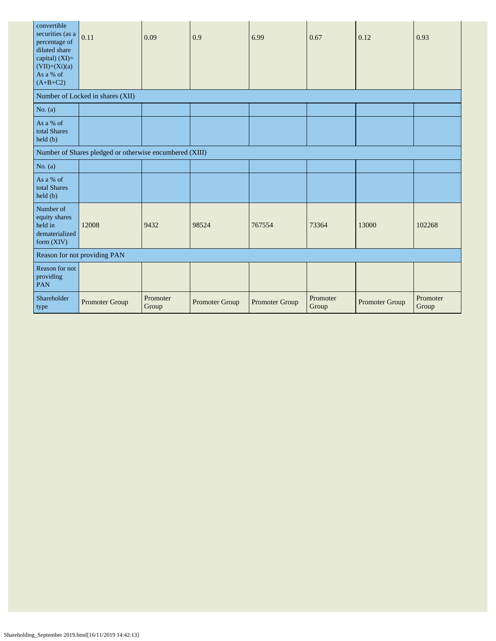| convertible<br>securities (as a<br>percentage of<br>diluted share<br>capital) (XI)=<br>$(VII)+(Xi)(a)$<br>As a % of<br>$(A+B+C2)$ | 0.11                                                    | 0.09              | 0.9            | 6.99           | 0.67              | 0.12           | 0.93              |
|-----------------------------------------------------------------------------------------------------------------------------------|---------------------------------------------------------|-------------------|----------------|----------------|-------------------|----------------|-------------------|
|                                                                                                                                   | Number of Locked in shares (XII)                        |                   |                |                |                   |                |                   |
| No. $(a)$                                                                                                                         |                                                         |                   |                |                |                   |                |                   |
| As a % of<br>total Shares<br>$\text{held}(\text{b})$                                                                              |                                                         |                   |                |                |                   |                |                   |
|                                                                                                                                   | Number of Shares pledged or otherwise encumbered (XIII) |                   |                |                |                   |                |                   |
| No. $(a)$                                                                                                                         |                                                         |                   |                |                |                   |                |                   |
| As a % of<br>total Shares<br>held (b)                                                                                             |                                                         |                   |                |                |                   |                |                   |
| Number of<br>equity shares<br>held in<br>dematerialized<br>form $(XIV)$                                                           | 12008                                                   | 9432              | 98524          | 767554         | 73364             | 13000          | 102268            |
| Reason for not providing PAN                                                                                                      |                                                         |                   |                |                |                   |                |                   |
| Reason for not<br>providing<br>PAN                                                                                                |                                                         |                   |                |                |                   |                |                   |
| Shareholder<br>type                                                                                                               | Promoter Group                                          | Promoter<br>Group | Promoter Group | Promoter Group | Promoter<br>Group | Promoter Group | Promoter<br>Group |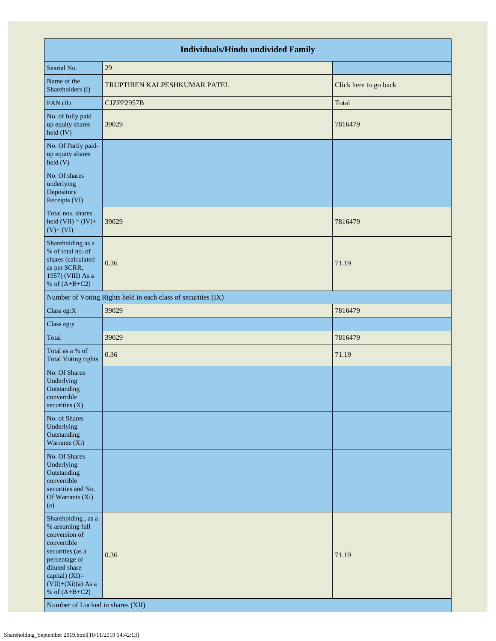| <b>Individuals/Hindu undivided Family</b>                                                                                                                                                                                    |                                                               |                       |  |  |  |  |
|------------------------------------------------------------------------------------------------------------------------------------------------------------------------------------------------------------------------------|---------------------------------------------------------------|-----------------------|--|--|--|--|
| Searial No.                                                                                                                                                                                                                  | 29                                                            |                       |  |  |  |  |
| Name of the<br>Shareholders (I)                                                                                                                                                                                              | TRUPTIBEN KALPESHKUMAR PATEL                                  | Click here to go back |  |  |  |  |
| PAN(II)                                                                                                                                                                                                                      | CJZPP2957B                                                    | Total                 |  |  |  |  |
| No. of fully paid<br>up equity shares<br>held (IV)                                                                                                                                                                           | 39029                                                         | 7816479               |  |  |  |  |
| No. Of Partly paid-<br>up equity shares<br>held (V)                                                                                                                                                                          |                                                               |                       |  |  |  |  |
| No. Of shares<br>underlying<br>Depository<br>Receipts (VI)                                                                                                                                                                   |                                                               |                       |  |  |  |  |
| Total nos. shares<br>held $(VII) = (IV) +$<br>$(V) + (VI)$                                                                                                                                                                   | 39029                                                         | 7816479               |  |  |  |  |
| Shareholding as a<br>% of total no. of<br>shares (calculated<br>as per SCRR,<br>1957) (VIII) As a<br>% of $(A+B+C2)$                                                                                                         | 0.36                                                          | 71.19                 |  |  |  |  |
|                                                                                                                                                                                                                              | Number of Voting Rights held in each class of securities (IX) |                       |  |  |  |  |
| Class eg:X                                                                                                                                                                                                                   | 39029                                                         | 7816479               |  |  |  |  |
| Class eg:y                                                                                                                                                                                                                   |                                                               |                       |  |  |  |  |
| Total                                                                                                                                                                                                                        | 39029                                                         | 7816479               |  |  |  |  |
| Total as a % of<br><b>Total Voting rights</b>                                                                                                                                                                                | 0.36                                                          | 71.19                 |  |  |  |  |
| No. Of Shares<br>Underlying<br>Outstanding<br>convertible<br>securities $(X)$                                                                                                                                                |                                                               |                       |  |  |  |  |
| No. of Shares<br>Underlying<br>Outstanding<br>Warrants (Xi)                                                                                                                                                                  |                                                               |                       |  |  |  |  |
| No. Of Shares<br>Underlying<br>Outstanding<br>convertible<br>securities and No.<br>Of Warrants (Xi)<br>(a)                                                                                                                   |                                                               |                       |  |  |  |  |
| Shareholding, as a<br>% assuming full<br>conversion of<br>convertible<br>securities (as a<br>percentage of<br>diluted share<br>capital) (XI)=<br>$(VII)+(Xi)(a)$ As a<br>% of $(A+B+C2)$<br>Number of Locked in shares (XII) | 0.36                                                          | 71.19                 |  |  |  |  |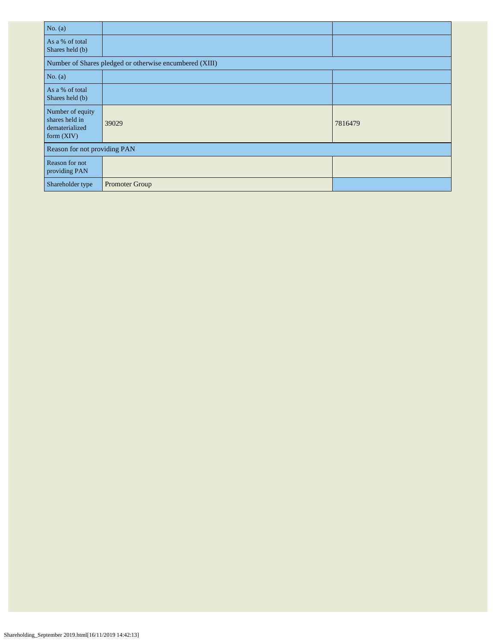| No. $(a)$                                                            |                                                         |         |  |  |  |
|----------------------------------------------------------------------|---------------------------------------------------------|---------|--|--|--|
| As a % of total<br>Shares held (b)                                   |                                                         |         |  |  |  |
|                                                                      | Number of Shares pledged or otherwise encumbered (XIII) |         |  |  |  |
| No. $(a)$                                                            |                                                         |         |  |  |  |
| As a % of total<br>Shares held (b)                                   |                                                         |         |  |  |  |
| Number of equity<br>shares held in<br>dematerialized<br>form $(XIV)$ | 39029                                                   | 7816479 |  |  |  |
| Reason for not providing PAN                                         |                                                         |         |  |  |  |
| Reason for not<br>providing PAN                                      |                                                         |         |  |  |  |
| Shareholder type                                                     | Promoter Group                                          |         |  |  |  |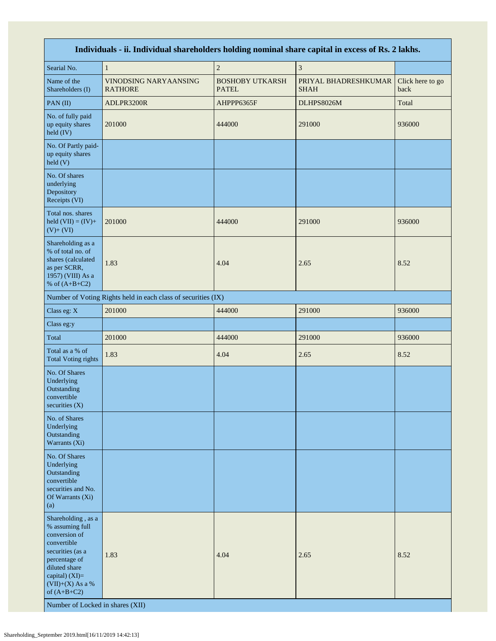| Individuals - ii. Individual shareholders holding nominal share capital in excess of Rs. 2 lakhs.                                                                                                                        |                                                               |                                        |                                     |                          |  |  |
|--------------------------------------------------------------------------------------------------------------------------------------------------------------------------------------------------------------------------|---------------------------------------------------------------|----------------------------------------|-------------------------------------|--------------------------|--|--|
| Searial No.                                                                                                                                                                                                              | $\mathbf{1}$                                                  | $\sqrt{2}$                             | $\mathfrak z$                       |                          |  |  |
| Name of the<br>Shareholders (I)                                                                                                                                                                                          | VINODSING NARYAANSING<br><b>RATHORE</b>                       | <b>BOSHOBY UTKARSH</b><br><b>PATEL</b> | PRIYAL BHADRESHKUMAR<br><b>SHAH</b> | Click here to go<br>back |  |  |
| PAN(II)                                                                                                                                                                                                                  | ADLPR3200R                                                    | AHPPP6365F                             | DLHPS8026M                          | Total                    |  |  |
| No. of fully paid<br>up equity shares<br>held (IV)                                                                                                                                                                       | 201000                                                        | 444000                                 | 291000                              | 936000                   |  |  |
| No. Of Partly paid-<br>up equity shares<br>$\text{held}$ (V)                                                                                                                                                             |                                                               |                                        |                                     |                          |  |  |
| No. Of shares<br>underlying<br>Depository<br>Receipts (VI)                                                                                                                                                               |                                                               |                                        |                                     |                          |  |  |
| Total nos. shares<br>held $(VII) = (IV) +$<br>$(V)+(VI)$                                                                                                                                                                 | 201000                                                        | 444000                                 | 291000                              | 936000                   |  |  |
| Shareholding as a<br>% of total no. of<br>shares (calculated<br>as per SCRR,<br>1957) (VIII) As a<br>% of $(A+B+C2)$                                                                                                     | 1.83                                                          | 4.04                                   | 2.65                                | 8.52                     |  |  |
|                                                                                                                                                                                                                          | Number of Voting Rights held in each class of securities (IX) |                                        |                                     |                          |  |  |
| Class eg: X                                                                                                                                                                                                              | 201000                                                        | 444000                                 | 291000                              | 936000                   |  |  |
| Class eg:y                                                                                                                                                                                                               |                                                               |                                        |                                     |                          |  |  |
| Total                                                                                                                                                                                                                    | 201000                                                        | 444000                                 | 291000                              | 936000                   |  |  |
| Total as a % of<br><b>Total Voting rights</b>                                                                                                                                                                            | 1.83                                                          | 4.04                                   | 2.65                                | 8.52                     |  |  |
| No. Of Shares<br>Underlying<br>Outstanding<br>convertible<br>securities (X)                                                                                                                                              |                                                               |                                        |                                     |                          |  |  |
| No. of Shares<br>Underlying<br>Outstanding<br>Warrants (Xi)                                                                                                                                                              |                                                               |                                        |                                     |                          |  |  |
| No. Of Shares<br>Underlying<br>Outstanding<br>convertible<br>securities and No.<br>Of Warrants (Xi)<br>(a)                                                                                                               |                                                               |                                        |                                     |                          |  |  |
| Shareholding, as a<br>% assuming full<br>conversion of<br>convertible<br>securities (as a<br>percentage of<br>diluted share<br>capital) (XI)=<br>$(VII)+(X)$ As a %<br>of $(A+B+C2)$<br>Number of Locked in shares (XII) | 1.83                                                          | 4.04                                   | 2.65                                | 8.52                     |  |  |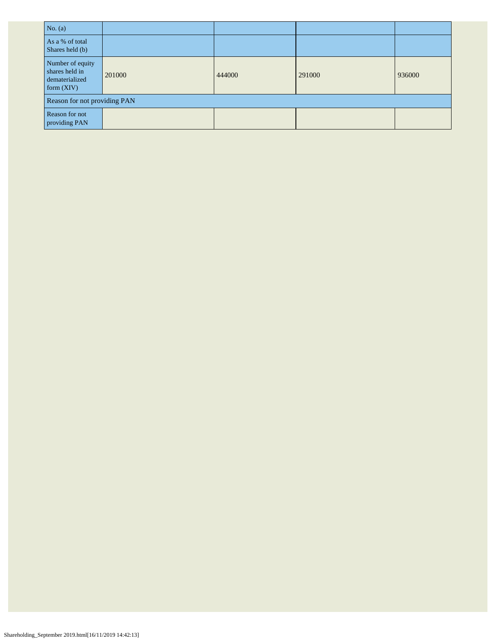| No. $(a)$                                                            |        |        |        |        |  |  |
|----------------------------------------------------------------------|--------|--------|--------|--------|--|--|
| As a % of total<br>Shares held (b)                                   |        |        |        |        |  |  |
| Number of equity<br>shares held in<br>dematerialized<br>form $(XIV)$ | 201000 | 444000 | 291000 | 936000 |  |  |
| Reason for not providing PAN                                         |        |        |        |        |  |  |
| Reason for not<br>providing PAN                                      |        |        |        |        |  |  |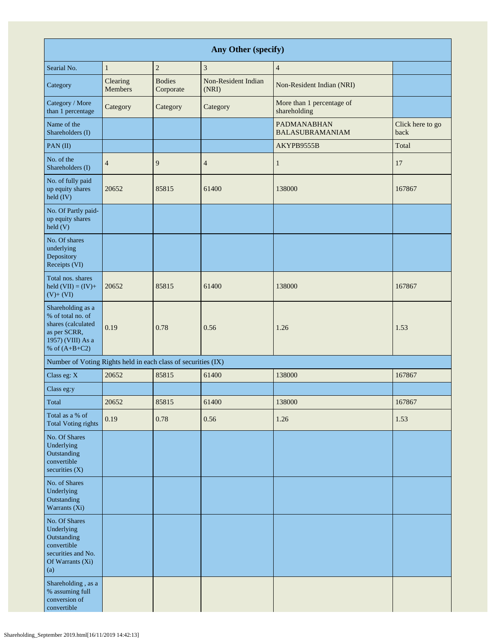| Any Other (specify)                                                                                                  |                     |                            |                              |                                              |                          |  |
|----------------------------------------------------------------------------------------------------------------------|---------------------|----------------------------|------------------------------|----------------------------------------------|--------------------------|--|
| Searial No.                                                                                                          | $\mathbf{1}$        | $\overline{c}$             | 3                            | $\overline{4}$                               |                          |  |
| Category                                                                                                             | Clearing<br>Members | <b>Bodies</b><br>Corporate | Non-Resident Indian<br>(NRI) | Non-Resident Indian (NRI)                    |                          |  |
| Category / More<br>than 1 percentage                                                                                 | Category            | Category                   | Category                     | More than 1 percentage of<br>shareholding    |                          |  |
| Name of the<br>Shareholders (I)                                                                                      |                     |                            |                              | <b>PADMANABHAN</b><br><b>BALASUBRAMANIAM</b> | Click here to go<br>back |  |
| $PAN$ (II)                                                                                                           |                     |                            |                              | AKYPB9555B                                   | Total                    |  |
| No. of the<br>Shareholders (I)                                                                                       | $\overline{4}$      | 9                          | $\overline{4}$               | $\mathbf{1}$                                 | 17                       |  |
| No. of fully paid<br>up equity shares<br>held (IV)                                                                   | 20652               | 85815                      | 61400                        | 138000                                       | 167867                   |  |
| No. Of Partly paid-<br>up equity shares<br>held(V)                                                                   |                     |                            |                              |                                              |                          |  |
| No. Of shares<br>underlying<br>Depository<br>Receipts (VI)                                                           |                     |                            |                              |                                              |                          |  |
| Total nos. shares<br>held $(VII) = (IV) +$<br>$(V)+(VI)$                                                             | 20652               | 85815                      | 61400                        | 138000                                       | 167867                   |  |
| Shareholding as a<br>% of total no. of<br>shares (calculated<br>as per SCRR,<br>1957) (VIII) As a<br>% of $(A+B+C2)$ | 0.19                | 0.78                       | 0.56                         | 1.26                                         | 1.53                     |  |
| Number of Voting Rights held in each class of securities (IX)                                                        |                     |                            |                              |                                              |                          |  |
| Class eg: X                                                                                                          | 20652               | 85815                      | 61400                        | 138000                                       | 167867                   |  |
| Class eg:y                                                                                                           |                     |                            |                              |                                              |                          |  |
| Total                                                                                                                | 20652               | 85815                      | 61400                        | 138000                                       | 167867                   |  |
| Total as a % of<br><b>Total Voting rights</b>                                                                        | 0.19                | 0.78                       | 0.56                         | 1.26                                         | 1.53                     |  |
| No. Of Shares<br>Underlying<br>Outstanding<br>convertible<br>securities $(X)$                                        |                     |                            |                              |                                              |                          |  |
| No. of Shares<br>Underlying<br>Outstanding<br>Warrants (Xi)                                                          |                     |                            |                              |                                              |                          |  |
| No. Of Shares<br>Underlying<br>Outstanding<br>convertible<br>securities and No.<br>Of Warrants (Xi)<br>(a)           |                     |                            |                              |                                              |                          |  |
| Shareholding, as a<br>% assuming full<br>conversion of<br>convertible                                                |                     |                            |                              |                                              |                          |  |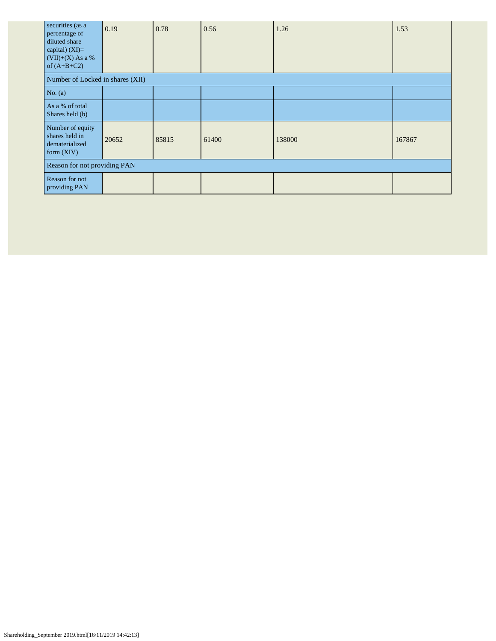| securities (as a<br>percentage of<br>diluted share<br>capital) $(XI)=$<br>$(VII)+(X)$ As a %<br>of $(A+B+C2)$ | 0.19  | 0.78  | 0.56  | 1.26   | 1.53   |  |
|---------------------------------------------------------------------------------------------------------------|-------|-------|-------|--------|--------|--|
| Number of Locked in shares (XII)                                                                              |       |       |       |        |        |  |
| No. $(a)$                                                                                                     |       |       |       |        |        |  |
| As a % of total<br>Shares held (b)                                                                            |       |       |       |        |        |  |
| Number of equity<br>shares held in<br>dematerialized<br>form (XIV)                                            | 20652 | 85815 | 61400 | 138000 | 167867 |  |
| Reason for not providing PAN                                                                                  |       |       |       |        |        |  |
| Reason for not<br>providing PAN                                                                               |       |       |       |        |        |  |